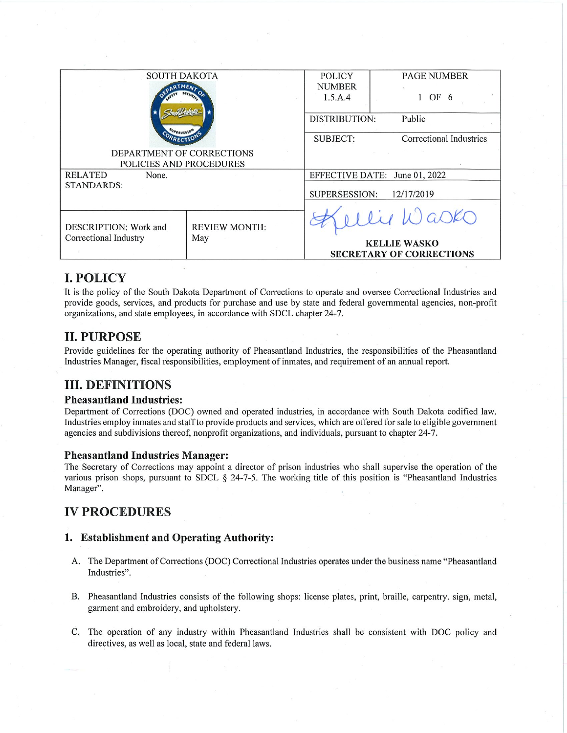| <b>SOUTH DAKOTA</b>       |                      | <b>POLICY</b>                 | <b>PAGE NUMBER</b>              |
|---------------------------|----------------------|-------------------------------|---------------------------------|
|                           |                      | <b>NUMBER</b>                 |                                 |
|                           |                      | 1.5.A.4                       | OF 6                            |
|                           |                      |                               |                                 |
|                           |                      | DISTRIBUTION:                 | Public                          |
|                           |                      |                               |                                 |
|                           |                      | <b>SUBJECT:</b>               | Correctional Industries         |
| DEPARTMENT OF CORRECTIONS |                      |                               |                                 |
| POLICIES AND PROCEDURES   |                      |                               |                                 |
| <b>RELATED</b><br>None.   |                      | EFFECTIVE DATE: June 01, 2022 |                                 |
| <b>STANDARDS:</b>         |                      |                               |                                 |
|                           |                      | SUPERSESSION:<br>12/17/2019   |                                 |
|                           |                      |                               |                                 |
|                           |                      |                               | lly Wasks                       |
| DESCRIPTION: Work and     | <b>REVIEW MONTH:</b> |                               |                                 |
| Correctional Industry     | May                  |                               |                                 |
|                           |                      | <b>KELLIE WASKO</b>           |                                 |
|                           |                      |                               | <b>SECRETARY OF CORRECTIONS</b> |

# **I. POLICY**

It is the policy of the South Dakota Department of Corrections to operate and oversee Correctional Industries and provide goods, services, and products for purchase and use by state and federal governmental agencies, non-profit organizations, and state employees, in accordance with SDCL chapter 24-7.

# **II. PURPOSE**

Provide guidelines for the operating authority of Pheasantland Industries, the responsibilities of the Pheasantland Industries Manager, fiscal responsibilities, employment of inmates, and requirement of an annual report.

# **III. DEFINITIONS**

### **Pheasantland Industries:**

Department of Corrections (DOC) owned and operated industries, in accordance with South Dakota codified law. Industries employ inmates and staff to provide products and services, which are offered for sale to eligible government agencies and subdivisions thereof, nonprofit organizations, and individuals, pursuant to chapter 24-7.

### **Pheasantland Industries Manager:**

The Secretary of Corrections may appoint a director of prison industries who shall supervise the operation of the various prison shops, pursuant to SDCL § 24-7-5. The working title of this position is "Pheasantland Industries Manager".

# **IV PROCEDURES**

### 1. Establishment and Operating Authority:

- A. The Department of Corrections (DOC) Correctional Industries operates under the business name "Pheasantland" Industries".
- B. Pheasantland Industries consists of the following shops: license plates, print, braille, carpentry, sign, metal, garment and embroidery, and upholstery.
- C. The operation of any industry within Pheasantland Industries shall be consistent with DOC policy and directives, as well as local, state and federal laws.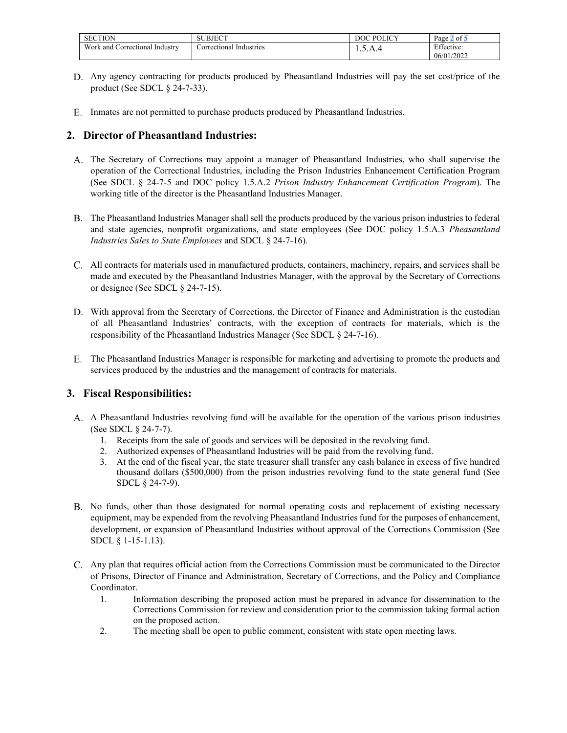| <b>SECTION</b>                      | SUBJECT                   | $T \cap T$<br>$D \cap T$<br>X | $\sim$<br>Page<br>. of ′   |
|-------------------------------------|---------------------------|-------------------------------|----------------------------|
| Work and<br>Industry<br>orrectional | orrectional<br>Industries | 1.7.11                        | $\mathbf{r}$<br>Effective: |
|                                     |                           |                               | /2022<br>06/01/            |

- Any agency contracting for products produced by Pheasantland Industries will pay the set cost/price of the product (See SDCL § 24-7-33).
- E. Inmates are not permitted to purchase products produced by Pheasantland Industries.

### **2. Director of Pheasantland Industries:**

- The Secretary of Corrections may appoint a manager of Pheasantland Industries, who shall supervise the operation of the Correctional Industries, including the Prison Industries Enhancement Certification Program (See SDCL § 24-7-5 and DOC policy 1.5.A.2 *Prison Industry Enhancement Certification Program*). The working title of the director is the Pheasantland Industries Manager.
- The Pheasantland Industries Manager shall sell the products produced by the various prison industries to federal and state agencies, nonprofit organizations, and state employees (See DOC policy 1.5.A.3 *Pheasantland Industries Sales to State Employees* and SDCL § 24-7-16).
- All contracts for materials used in manufactured products, containers, machinery, repairs, and services shall be made and executed by the Pheasantland Industries Manager, with the approval by the Secretary of Corrections or designee (See SDCL § 24-7-15).
- D. With approval from the Secretary of Corrections, the Director of Finance and Administration is the custodian of all Pheasantland Industries' contracts, with the exception of contracts for materials, which is the responsibility of the Pheasantland Industries Manager (See SDCL § 24-7-16).
- The Pheasantland Industries Manager is responsible for marketing and advertising to promote the products and services produced by the industries and the management of contracts for materials.

### **3. Fiscal Responsibilities:**

- A Pheasantland Industries revolving fund will be available for the operation of the various prison industries (See SDCL § 24-7-7).
	- 1. Receipts from the sale of goods and services will be deposited in the revolving fund.
	- 2. Authorized expenses of Pheasantland Industries will be paid from the revolving fund.
	- 3. At the end of the fiscal year, the state treasurer shall transfer any cash balance in excess of five hundred thousand dollars (\$500,000) from the prison industries revolving fund to the state general fund (See SDCL § 24-7-9).
- B. No funds, other than those designated for normal operating costs and replacement of existing necessary equipment, may be expended from the revolving Pheasantland Industries fund for the purposes of enhancement, development, or expansion of Pheasantland Industries without approval of the Corrections Commission (See SDCL § 1-15-1.13).
- Any plan that requires official action from the Corrections Commission must be communicated to the Director of Prisons, Director of Finance and Administration, Secretary of Corrections, and the Policy and Compliance Coordinator.
	- 1. Information describing the proposed action must be prepared in advance for dissemination to the Corrections Commission for review and consideration prior to the commission taking formal action on the proposed action.
	- 2. The meeting shall be open to public comment, consistent with state open meeting laws.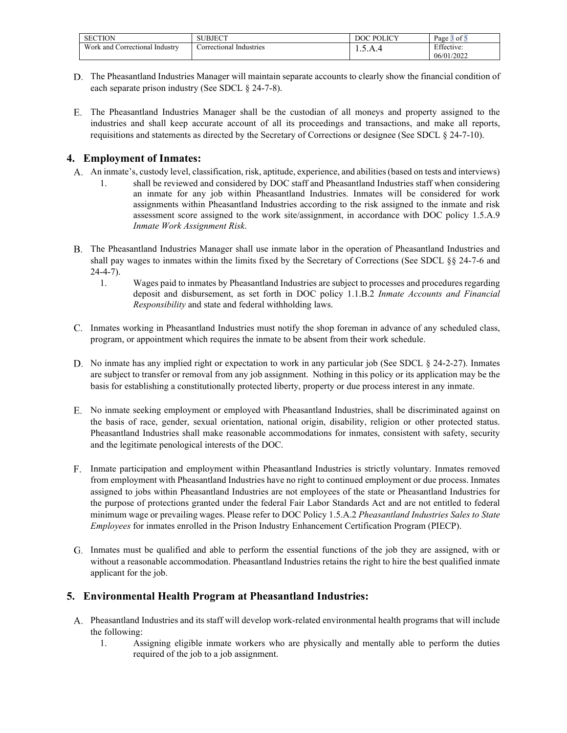| <b>SECTION</b>                            | <b>ALID IR OF</b><br>$\sim$ BJEC. | $\overline{D}$ $\overline{O}$ $\overline{O}$ $\overline{O}$ $\overline{O}$<br>лC | $\sim$<br>Page<br>⊿ot ′  |
|-------------------------------------------|-----------------------------------|----------------------------------------------------------------------------------|--------------------------|
| Work a<br>Industry<br>and<br>Correctional | Industries<br>orrectional         | 1.7.11                                                                           | Effective:<br>06/01/2022 |

- The Pheasantland Industries Manager will maintain separate accounts to clearly show the financial condition of each separate prison industry (See SDCL § 24-7-8).
- The Pheasantland Industries Manager shall be the custodian of all moneys and property assigned to the industries and shall keep accurate account of all its proceedings and transactions, and make all reports, requisitions and statements as directed by the Secretary of Corrections or designee (See SDCL § 24-7-10).

### **4. Employment of Inmates:**

- An inmate's, custody level, classification, risk, aptitude, experience, and abilities (based on tests and interviews)
	- 1. shall be reviewed and considered by DOC staff and Pheasantland Industries staff when considering an inmate for any job within Pheasantland Industries. Inmates will be considered for work assignments within Pheasantland Industries according to the risk assigned to the inmate and risk assessment score assigned to the work site/assignment, in accordance with DOC policy 1.5.A.9 *Inmate Work Assignment Risk*.
- The Pheasantland Industries Manager shall use inmate labor in the operation of Pheasantland Industries and shall pay wages to inmates within the limits fixed by the Secretary of Corrections (See SDCL §§ 24-7-6 and  $24 - 4 - 7$ ).
	- 1. Wages paid to inmates by Pheasantland Industries are subject to processes and procedures regarding deposit and disbursement, as set forth in DOC policy 1.1.B.2 *Inmate Accounts and Financial Responsibility* and state and federal withholding laws.
- C. Inmates working in Pheasantland Industries must notify the shop foreman in advance of any scheduled class, program, or appointment which requires the inmate to be absent from their work schedule.
- D. No inmate has any implied right or expectation to work in any particular job (See SDCL § 24-2-27). Inmates are subject to transfer or removal from any job assignment. Nothing in this policy or its application may be the basis for establishing a constitutionally protected liberty, property or due process interest in any inmate.
- No inmate seeking employment or employed with Pheasantland Industries, shall be discriminated against on the basis of race, gender, sexual orientation, national origin, disability, religion or other protected status. Pheasantland Industries shall make reasonable accommodations for inmates, consistent with safety, security and the legitimate penological interests of the DOC.
- F. Inmate participation and employment within Pheasantland Industries is strictly voluntary. Inmates removed from employment with Pheasantland Industries have no right to continued employment or due process. Inmates assigned to jobs within Pheasantland Industries are not employees of the state or Pheasantland Industries for the purpose of protections granted under the federal Fair Labor Standards Act and are not entitled to federal minimum wage or prevailing wages. Please refer to DOC Policy 1.5.A.2 *Pheasantland Industries Sales to State Employees* for inmates enrolled in the Prison Industry Enhancement Certification Program (PIECP).
- Inmates must be qualified and able to perform the essential functions of the job they are assigned, with or without a reasonable accommodation. Pheasantland Industries retains the right to hire the best qualified inmate applicant for the job.

### **5. Environmental Health Program at Pheasantland Industries:**

- Pheasantland Industries and its staff will develop work-related environmental health programs that will include the following:
	- 1. Assigning eligible inmate workers who are physically and mentally able to perform the duties required of the job to a job assignment.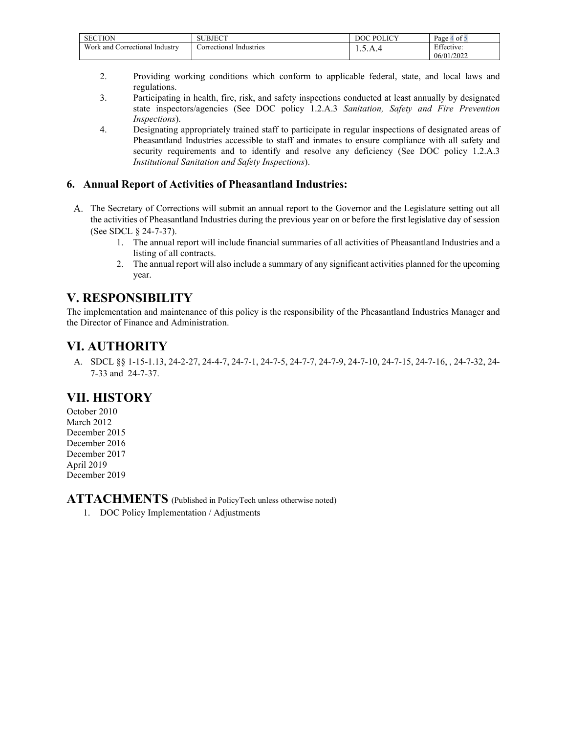| <b>SECTION</b>                         |                                    | $\cup$ POLICV<br>DC. | $\blacksquare$<br>Page -<br>⊹of |
|----------------------------------------|------------------------------------|----------------------|---------------------------------|
| Work and<br>. Industry<br>Correctional | Industries<br><i>c</i> orrectional | 1.7.11               | Effective:<br>06/01/2022        |

- 2. Providing working conditions which conform to applicable federal, state, and local laws and regulations.
- 3. Participating in health, fire, risk, and safety inspections conducted at least annually by designated state inspectors/agencies (See DOC policy 1.2.A.3 *Sanitation, Safety and Fire Prevention Inspections*).
- 4. Designating appropriately trained staff to participate in regular inspections of designated areas of Pheasantland Industries accessible to staff and inmates to ensure compliance with all safety and security requirements and to identify and resolve any deficiency (See DOC policy 1.2.A.3) *Institutional Sanitation and Safety Inspections*).

### **6. Annual Report of Activities of Pheasantland Industries:**

- The Secretary of Corrections will submit an annual report to the Governor and the Legislature setting out all the activities of Pheasantland Industries during the previous year on or before the first legislative day of session (See SDCL § 24-7-37).
	- 1. The annual report will include financial summaries of all activities of Pheasantland Industries and a listing of all contracts.
	- 2. The annual report will also include a summary of any significant activities planned for the upcoming year.

# **V. RESPONSIBILITY**

The implementation and maintenance of this policy is the responsibility of the Pheasantland Industries Manager and the Director of Finance and Administration.

# **VI. AUTHORITY**

A. SDCL §§ 1-15-1.13, 24-2-27, 24-4-7, 24-7-1, 24-7-5, 24-7-7, 24-7-9, 24-7-10, 24-7-15, 24-7-16, , 24-7-32, 24- 7-33 and 24-7-37.

### **VII. HISTORY**

October 2010 March 2012 December 2015 December 2016 December 2017 April 2019 December 2019

**ATTACHMENTS** (Published in PolicyTech unless otherwise noted)

1. DOC Policy Implementation / Adjustments